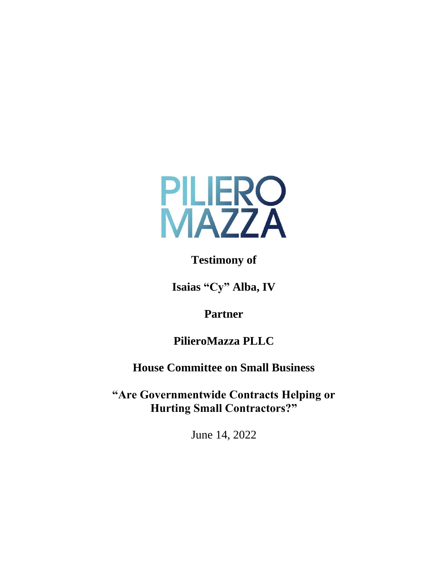

**Testimony of**

**Isaias "Cy" Alba, IV**

**Partner**

**PilieroMazza PLLC**

**House Committee on Small Business**

**"Are Governmentwide Contracts Helping or Hurting Small Contractors?"**

June 14, 2022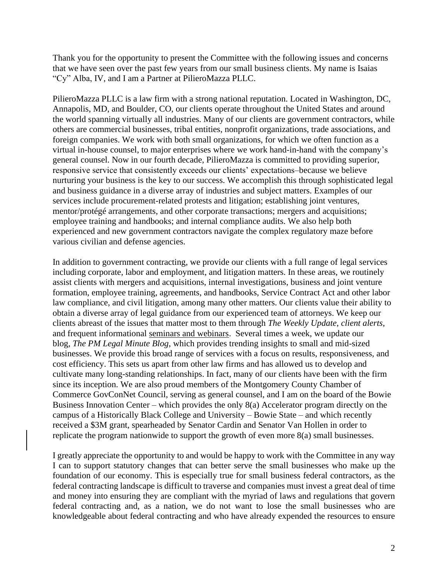Thank you for the opportunity to present the Committee with the following issues and concerns that we have seen over the past few years from our small business clients. My name is Isaias "Cy" Alba, IV, and I am a Partner at PilieroMazza PLLC.

PilieroMazza PLLC is a law firm with a strong national reputation. Located in Washington, DC, Annapolis, MD, and Boulder, CO, our clients operate throughout the United States and around the world spanning virtually all industries. Many of our clients are government contractors, while others are commercial businesses, tribal entities, nonprofit organizations, trade associations, and foreign companies. We work with both small organizations, for which we often function as a virtual in-house counsel, to major enterprises where we work hand-in-hand with the company's general counsel. Now in our fourth decade, PilieroMazza is committed to providing superior, responsive service that consistently exceeds our clients' expectations–because we believe nurturing your business is the key to our success. We accomplish this through sophisticated legal and business guidance in a diverse array of industries and subject matters. Examples of our services include procurement-related protests and litigation; establishing joint ventures, mentor/protégé arrangements, and other corporate transactions; mergers and acquisitions; employee training and handbooks; and internal compliance audits. We also help both experienced and new government contractors navigate the complex regulatory maze before various civilian and defense agencies.

In addition to government contracting, we provide our clients with a full range of legal services including corporate, labor and employment, and litigation matters. In these areas, we routinely assist clients with mergers and acquisitions, internal investigations, business and joint venture formation, employee training, agreements, and handbooks, Service Contract Act and other labor law compliance, and civil litigation, among many other matters. Our clients value their ability to obtain a diverse array of legal guidance from our experienced team of attorneys. We keep our clients abreast of the issues that matter most to them through *[The Weekly Update](https://www.pilieromazza.com/7A2372/weekly-update-newsletter)*, *[client alerts](https://www.pilieromazza.com/7A2372/client-alerts)*, and frequent informational [seminars and webinars.](https://www.pilieromazza.com/7A2372/events) Several times a week, we update our blog, *[The PM Legal Minute Blog](https://www.pilieromazza.com/7A2372/blog)*, which provides trending insights to small and mid-sized businesses. We provide this broad range of services with a focus on results, responsiveness, and cost efficiency. This sets us apart from other law firms and has allowed us to develop and cultivate many long-standing relationships. In fact, many of our clients have been with the firm since its inception. We are also proud members of the Montgomery County Chamber of Commerce GovConNet Council, serving as general counsel, and I am on the board of the Bowie Business Innovation Center – which provides the only  $8(a)$  Accelerator program directly on the campus of a Historically Black College and University – Bowie State – and which recently received a \$3M grant, spearheaded by Senator Cardin and Senator Van Hollen in order to replicate the program nationwide to support the growth of even more 8(a) small businesses.

I greatly appreciate the opportunity to and would be happy to work with the Committee in any way I can to support statutory changes that can better serve the small businesses who make up the foundation of our economy. This is especially true for small business federal contractors, as the federal contracting landscape is difficult to traverse and companies must invest a great deal of time and money into ensuring they are compliant with the myriad of laws and regulations that govern federal contracting and, as a nation, we do not want to lose the small businesses who are knowledgeable about federal contracting and who have already expended the resources to ensure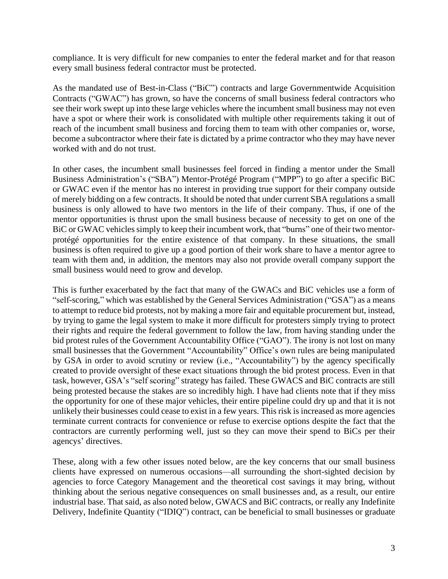compliance. It is very difficult for new companies to enter the federal market and for that reason every small business federal contractor must be protected.

As the mandated use of Best-in-Class ("BiC") contracts and large Governmentwide Acquisition Contracts ("GWAC") has grown, so have the concerns of small business federal contractors who see their work swept up into these large vehicles where the incumbent small business may not even have a spot or where their work is consolidated with multiple other requirements taking it out of reach of the incumbent small business and forcing them to team with other companies or, worse, become a subcontractor where their fate is dictated by a prime contractor who they may have never worked with and do not trust.

In other cases, the incumbent small businesses feel forced in finding a mentor under the Small Business Administration's ("SBA") Mentor-Protégé Program ("MPP") to go after a specific BiC or GWAC even if the mentor has no interest in providing true support for their company outside of merely bidding on a few contracts. It should be noted that under current SBA regulations a small business is only allowed to have two mentors in the life of their company. Thus, if one of the mentor opportunities is thrust upon the small business because of necessity to get on one of the BiC or GWAC vehicles simply to keep their incumbent work, that "burns" one of their two mentorprotégé opportunities for the entire existence of that company. In these situations, the small business is often required to give up a good portion of their work share to have a mentor agree to team with them and, in addition, the mentors may also not provide overall company support the small business would need to grow and develop.

This is further exacerbated by the fact that many of the GWACs and BiC vehicles use a form of "self-scoring," which was established by the General Services Administration ("GSA") as a means to attempt to reduce bid protests, not by making a more fair and equitable procurement but, instead, by trying to game the legal system to make it more difficult for protesters simply trying to protect their rights and require the federal government to follow the law, from having standing under the bid protest rules of the Government Accountability Office ("GAO"). The irony is not lost on many small businesses that the Government "Accountability" Office's own rules are being manipulated by GSA in order to avoid scrutiny or review (i.e., "Accountability") by the agency specifically created to provide oversight of these exact situations through the bid protest process. Even in that task, however, GSA's "self scoring" strategy has failed. These GWACS and BiC contracts are still being protested because the stakes are so incredibly high. I have had clients note that if they miss the opportunity for one of these major vehicles, their entire pipeline could dry up and that it is not unlikely their businesses could cease to exist in a few years. This risk is increased as more agencies terminate current contracts for convenience or refuse to exercise options despite the fact that the contractors are currently performing well, just so they can move their spend to BiCs per their agencys' directives.

These, along with a few other issues noted below, are the key concerns that our small business clients have expressed on numerous occasions—all surrounding the short-sighted decision by agencies to force Category Management and the theoretical cost savings it may bring, without thinking about the serious negative consequences on small businesses and, as a result, our entire industrial base. That said, as also noted below, GWACS and BiC contracts, or really any Indefinite Delivery, Indefinite Quantity ("IDIQ") contract, can be beneficial to small businesses or graduate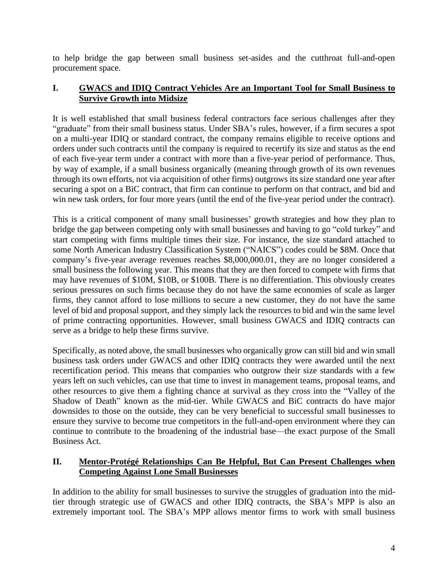to help bridge the gap between small business set-asides and the cutthroat full-and-open procurement space.

## **I. GWACS and IDIQ Contract Vehicles Are an Important Tool for Small Business to Survive Growth into Midsize**

It is well established that small business federal contractors face serious challenges after they "graduate" from their small business status. Under SBA's rules, however, if a firm secures a spot on a multi-year IDIQ or standard contract, the company remains eligible to receive options and orders under such contracts until the company is required to recertify its size and status as the end of each five-year term under a contract with more than a five-year period of performance. Thus, by way of example, if a small business organically (meaning through growth of its own revenues through its own efforts, not via acquisition of other firms) outgrows its size standard one year after securing a spot on a BiC contract, that firm can continue to perform on that contract, and bid and win new task orders, for four more years (until the end of the five-year period under the contract).

This is a critical component of many small businesses' growth strategies and how they plan to bridge the gap between competing only with small businesses and having to go "cold turkey" and start competing with firms multiple times their size. For instance, the size standard attached to some North American Industry Classification System ("NAICS") codes could be \$8M. Once that company's five-year average revenues reaches \$8,000,000.01, they are no longer considered a small business the following year. This means that they are then forced to compete with firms that may have revenues of \$10M, \$10B, or \$100B. There is no differentiation. This obviously creates serious pressures on such firms because they do not have the same economies of scale as larger firms, they cannot afford to lose millions to secure a new customer, they do not have the same level of bid and proposal support, and they simply lack the resources to bid and win the same level of prime contracting opportunities. However, small business GWACS and IDIQ contracts can serve as a bridge to help these firms survive.

Specifically, as noted above, the small businesses who organically grow can still bid and win small business task orders under GWACS and other IDIQ contracts they were awarded until the next recertification period. This means that companies who outgrow their size standards with a few years left on such vehicles, can use that time to invest in management teams, proposal teams, and other resources to give them a fighting chance at survival as they cross into the "Valley of the Shadow of Death" known as the mid-tier. While GWACS and BiC contracts do have major downsides to those on the outside, they can be very beneficial to successful small businesses to ensure they survive to become true competitors in the full-and-open environment where they can continue to contribute to the broadening of the industrial base—the exact purpose of the Small Business Act.

## **II. Mentor-Protégé Relationships Can Be Helpful, But Can Present Challenges when Competing Against Lone Small Businesses**

In addition to the ability for small businesses to survive the struggles of graduation into the midtier through strategic use of GWACS and other IDIQ contracts, the SBA's MPP is also an extremely important tool. The SBA's MPP allows mentor firms to work with small business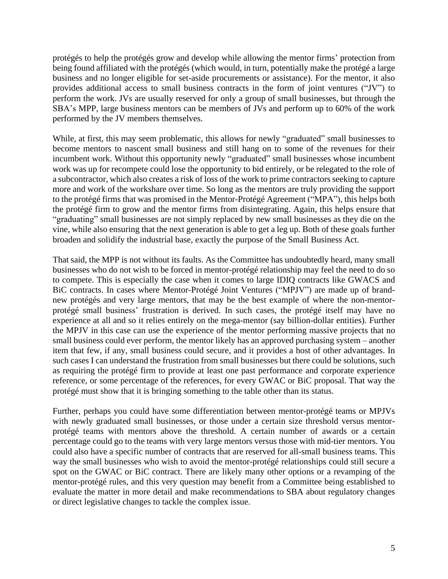protégés to help the protégés grow and develop while allowing the mentor firms' protection from being found affiliated with the protégés (which would, in turn, potentially make the protégé a large business and no longer eligible for set-aside procurements or assistance). For the mentor, it also provides additional access to small business contracts in the form of joint ventures ("JV") to perform the work. JVs are usually reserved for only a group of small businesses, but through the SBA's MPP, large business mentors can be members of JVs and perform up to 60% of the work performed by the JV members themselves.

While, at first, this may seem problematic, this allows for newly "graduated" small businesses to become mentors to nascent small business and still hang on to some of the revenues for their incumbent work. Without this opportunity newly "graduated" small businesses whose incumbent work was up for recompete could lose the opportunity to bid entirely, or be relegated to the role of a subcontractor, which also creates a risk of loss of the work to prime contractors seeking to capture more and work of the workshare over time. So long as the mentors are truly providing the support to the protégé firms that was promised in the Mentor-Protégé Agreement ("MPA"), this helps both the protégé firm to grow and the mentor firms from disintegrating. Again, this helps ensure that "graduating" small businesses are not simply replaced by new small businesses as they die on the vine, while also ensuring that the next generation is able to get a leg up. Both of these goals further broaden and solidify the industrial base, exactly the purpose of the Small Business Act.

That said, the MPP is not without its faults. As the Committee has undoubtedly heard, many small businesses who do not wish to be forced in mentor-protégé relationship may feel the need to do so to compete. This is especially the case when it comes to large IDIQ contracts like GWACS and BiC contracts. In cases where Mentor-Protégé Joint Ventures ("MPJV") are made up of brandnew protégés and very large mentors, that may be the best example of where the non-mentorprotégé small business' frustration is derived. In such cases, the protégé itself may have no experience at all and so it relies entirely on the mega-mentor (say billion-dollar entities). Further the MPJV in this case can use the experience of the mentor performing massive projects that no small business could ever perform, the mentor likely has an approved purchasing system – another item that few, if any, small business could secure, and it provides a host of other advantages. In such cases I can understand the frustration from small businesses but there could be solutions, such as requiring the protégé firm to provide at least one past performance and corporate experience reference, or some percentage of the references, for every GWAC or BiC proposal. That way the protégé must show that it is bringing something to the table other than its status.

Further, perhaps you could have some differentiation between mentor-protégé teams or MPJVs with newly graduated small businesses, or those under a certain size threshold versus mentorprotégé teams with mentors above the threshold. A certain number of awards or a certain percentage could go to the teams with very large mentors versus those with mid-tier mentors. You could also have a specific number of contracts that are reserved for all-small business teams. This way the small businesses who wish to avoid the mentor-protégé relationships could still secure a spot on the GWAC or BiC contract. There are likely many other options or a revamping of the mentor-protégé rules, and this very question may benefit from a Committee being established to evaluate the matter in more detail and make recommendations to SBA about regulatory changes or direct legislative changes to tackle the complex issue.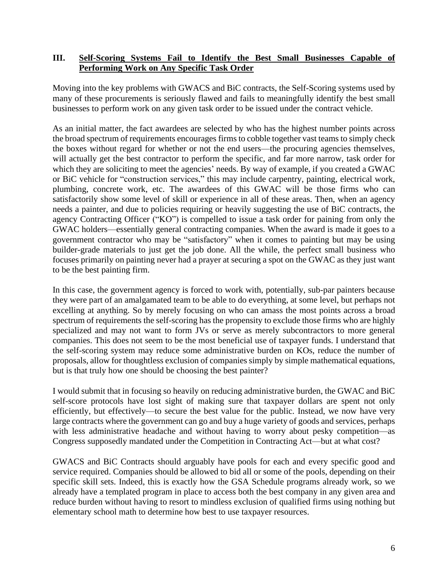## **III. Self-Scoring Systems Fail to Identify the Best Small Businesses Capable of Performing Work on Any Specific Task Order**

Moving into the key problems with GWACS and BiC contracts, the Self-Scoring systems used by many of these procurements is seriously flawed and fails to meaningfully identify the best small businesses to perform work on any given task order to be issued under the contract vehicle.

As an initial matter, the fact awardees are selected by who has the highest number points across the broad spectrum of requirements encourages firmsto cobble together vast teams to simply check the boxes without regard for whether or not the end users—the procuring agencies themselves, will actually get the best contractor to perform the specific, and far more narrow, task order for which they are soliciting to meet the agencies' needs. By way of example, if you created a GWAC or BiC vehicle for "construction services," this may include carpentry, painting, electrical work, plumbing, concrete work, etc. The awardees of this GWAC will be those firms who can satisfactorily show some level of skill or experience in all of these areas. Then, when an agency needs a painter, and due to policies requiring or heavily suggesting the use of BiC contracts, the agency Contracting Officer ("KO") is compelled to issue a task order for paining from only the GWAC holders—essentially general contracting companies. When the award is made it goes to a government contractor who may be "satisfactory" when it comes to painting but may be using builder-grade materials to just get the job done. All the while, the perfect small business who focuses primarily on painting never had a prayer at securing a spot on the GWAC as they just want to be the best painting firm.

In this case, the government agency is forced to work with, potentially, sub-par painters because they were part of an amalgamated team to be able to do everything, at some level, but perhaps not excelling at anything. So by merely focusing on who can amass the most points across a broad spectrum of requirements the self-scoring has the propensity to exclude those firms who are highly specialized and may not want to form JVs or serve as merely subcontractors to more general companies. This does not seem to be the most beneficial use of taxpayer funds. I understand that the self-scoring system may reduce some administrative burden on KOs, reduce the number of proposals, allow for thoughtless exclusion of companies simply by simple mathematical equations, but is that truly how one should be choosing the best painter?

I would submit that in focusing so heavily on reducing administrative burden, the GWAC and BiC self-score protocols have lost sight of making sure that taxpayer dollars are spent not only efficiently, but effectively—to secure the best value for the public. Instead, we now have very large contracts where the government can go and buy a huge variety of goods and services, perhaps with less administrative headache and without having to worry about pesky competition—as Congress supposedly mandated under the Competition in Contracting Act—but at what cost?

GWACS and BiC Contracts should arguably have pools for each and every specific good and service required. Companies should be allowed to bid all or some of the pools, depending on their specific skill sets. Indeed, this is exactly how the GSA Schedule programs already work, so we already have a templated program in place to access both the best company in any given area and reduce burden without having to resort to mindless exclusion of qualified firms using nothing but elementary school math to determine how best to use taxpayer resources.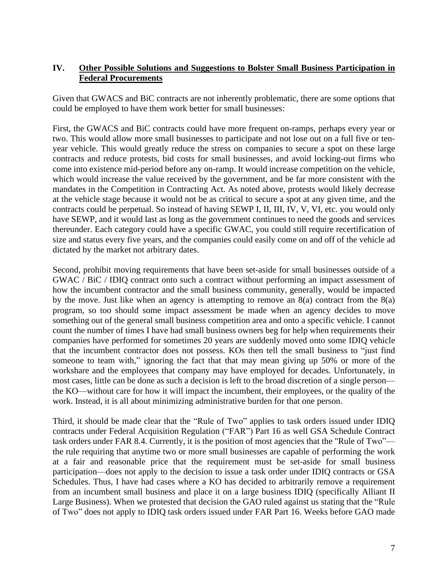## **IV. Other Possible Solutions and Suggestions to Bolster Small Business Participation in Federal Procurements**

Given that GWACS and BiC contracts are not inherently problematic, there are some options that could be employed to have them work better for small businesses:

First, the GWACS and BiC contracts could have more frequent on-ramps, perhaps every year or two. This would allow more small businesses to participate and not lose out on a full five or tenyear vehicle. This would greatly reduce the stress on companies to secure a spot on these large contracts and reduce protests, bid costs for small businesses, and avoid locking-out firms who come into existence mid-period before any on-ramp. It would increase competition on the vehicle, which would increase the value received by the government, and be far more consistent with the mandates in the Competition in Contracting Act. As noted above, protests would likely decrease at the vehicle stage because it would not be as critical to secure a spot at any given time, and the contracts could be perpetual. So instead of having SEWP I, II, III, IV, V, VI, etc. you would only have SEWP, and it would last as long as the government continues to need the goods and services thereunder. Each category could have a specific GWAC, you could still require recertification of size and status every five years, and the companies could easily come on and off of the vehicle ad dictated by the market not arbitrary dates.

Second, prohibit moving requirements that have been set-aside for small businesses outside of a GWAC / BiC / IDIQ contract onto such a contract without performing an impact assessment of how the incumbent contractor and the small business community, generally, would be impacted by the move. Just like when an agency is attempting to remove an 8(a) contract from the 8(a) program, so too should some impact assessment be made when an agency decides to move something out of the general small business competition area and onto a specific vehicle. I cannot count the number of times I have had small business owners beg for help when requirements their companies have performed for sometimes 20 years are suddenly moved onto some IDIQ vehicle that the incumbent contractor does not possess. KOs then tell the small business to "just find someone to team with," ignoring the fact that that may mean giving up 50% or more of the workshare and the employees that company may have employed for decades. Unfortunately, in most cases, little can be done as such a decision is left to the broad discretion of a single person the KO—without care for how it will impact the incumbent, their employees, or the quality of the work. Instead, it is all about minimizing administrative burden for that one person.

Third, it should be made clear that the "Rule of Two" applies to task orders issued under IDIQ contracts under Federal Acquisition Regulation ("FAR") Part 16 as well GSA Schedule Contract task orders under FAR 8.4. Currently, it is the position of most agencies that the "Rule of Two" the rule requiring that anytime two or more small businesses are capable of performing the work at a fair and reasonable price that the requirement must be set-aside for small business participation—does not apply to the decision to issue a task order under IDIQ contracts or GSA Schedules. Thus, I have had cases where a KO has decided to arbitrarily remove a requirement from an incumbent small business and place it on a large business IDIQ (specifically Alliant II Large Business). When we protested that decision the GAO ruled against us stating that the "Rule of Two" does not apply to IDIQ task orders issued under FAR Part 16. Weeks before GAO made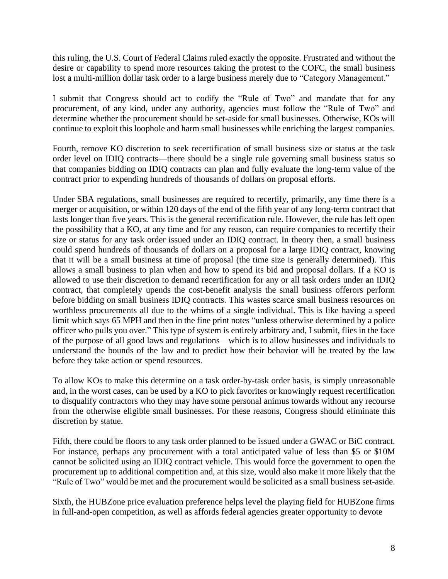this ruling, the U.S. Court of Federal Claims ruled exactly the opposite. Frustrated and without the desire or capability to spend more resources taking the protest to the COFC, the small business lost a multi-million dollar task order to a large business merely due to "Category Management."

I submit that Congress should act to codify the "Rule of Two" and mandate that for any procurement, of any kind, under any authority, agencies must follow the "Rule of Two" and determine whether the procurement should be set-aside for small businesses. Otherwise, KOs will continue to exploit this loophole and harm small businesses while enriching the largest companies.

Fourth, remove KO discretion to seek recertification of small business size or status at the task order level on IDIQ contracts—there should be a single rule governing small business status so that companies bidding on IDIQ contracts can plan and fully evaluate the long-term value of the contract prior to expending hundreds of thousands of dollars on proposal efforts.

Under SBA regulations, small businesses are required to recertify, primarily, any time there is a merger or acquisition, or within 120 days of the end of the fifth year of any long-term contract that lasts longer than five years. This is the general recertification rule. However, the rule has left open the possibility that a KO, at any time and for any reason, can require companies to recertify their size or status for any task order issued under an IDIQ contract. In theory then, a small business could spend hundreds of thousands of dollars on a proposal for a large IDIQ contract, knowing that it will be a small business at time of proposal (the time size is generally determined). This allows a small business to plan when and how to spend its bid and proposal dollars. If a KO is allowed to use their discretion to demand recertification for any or all task orders under an IDIQ contract, that completely upends the cost-benefit analysis the small business offerors perform before bidding on small business IDIQ contracts. This wastes scarce small business resources on worthless procurements all due to the whims of a single individual. This is like having a speed limit which says 65 MPH and then in the fine print notes "unless otherwise determined by a police officer who pulls you over." This type of system is entirely arbitrary and, I submit, flies in the face of the purpose of all good laws and regulations—which is to allow businesses and individuals to understand the bounds of the law and to predict how their behavior will be treated by the law before they take action or spend resources.

To allow KOs to make this determine on a task order-by-task order basis, is simply unreasonable and, in the worst cases, can be used by a KO to pick favorites or knowingly request recertification to disqualify contractors who they may have some personal animus towards without any recourse from the otherwise eligible small businesses. For these reasons, Congress should eliminate this discretion by statue.

Fifth, there could be floors to any task order planned to be issued under a GWAC or BiC contract. For instance, perhaps any procurement with a total anticipated value of less than \$5 or \$10M cannot be solicited using an IDIQ contract vehicle. This would force the government to open the procurement up to additional competition and, at this size, would also make it more likely that the "Rule of Two" would be met and the procurement would be solicited as a small business set-aside.

Sixth, the HUBZone price evaluation preference helps level the playing field for HUBZone firms in full-and-open competition, as well as affords federal agencies greater opportunity to devote